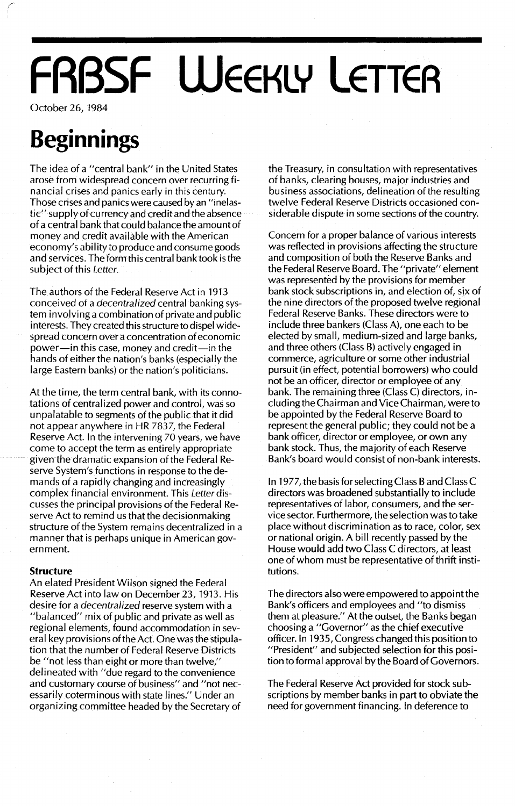## **FRBSF WEEKLY LETTER**

October 26, 1984

### **Beginnings**

The idea of a "central bank" in the United States arose from widespread concern over recurring financial crises and panics early in this century. Those crises and panics were caused by an "inelastic" supply of currency and credit and the absence of a central bank that could balance the amount of money and credit available with the American economy's ability to produce and consume goods and services. The form this central bank took is the subject of this *Letter.*

The authors of the Federal Reserve Act in 1913 conceived of a *decentralized* central banking system involving a combination of private and public interests. They created this structure to dispel widespread concern over a concentration of economic power-in this case, money and credit-in the hands of either the nation's banks (especially the large Eastern banks) or the nation's politicians.

At the time, the term central bank, with its connotations of centralized power and control, was so unpalatable to segments of the public that it did not appear anywhere in HR 7837, the Federal Reserve Act. In the intervening 70 years, we have come to accept the term as entirely appropriate given the dramatic expansion of the Federal Reserve System's functions in response to the demands of a rapidly changing and increasingly complex financial environment. This *Letter* discusses the principal provisions of the Federal Reserve Act to remind us that the decisionmaking structure of the System remains decentralized in a manner that is perhaps unique in American government.

#### **Structure**

An elated President Wilson signed the Federal Reserve Act into law on December 23, 1913. His desire for a *decentralized* reserve system with a "balanced" mix of public and private as well as regional elements, found accommodation in several key provisions ofthe Act. One was the stipulation that the number of Federal Reserve Districts be "not less than eight or more than twelve," delineated with "due regard to the convenience and customary course of business" and "not necessarily coterminous with state lines." Under an organizing committee headed by the Secretary of the Treasury, in consultation with representatives of banks, clearing houses, major industries and business associations, delineation of the resulting twelve Federal Reserve Districts occasioned considerable dispute in some sections of the country.

Concern for a proper balance of various interests was reflected in provisions affecting the structure and composition of both the Reserve Banks and the Federal Reserve Board. The "private" element was represented by the provisions for member bank stock subscriptions in, and election of, six of the nine directors of the proposed twelve regional Federal Reserve Banks. These directors were to include three bankers (Class A), one each to be elected by small, medium-sized and large banks, and three others (Class B) actively engaged in commerce, agriculture or some other industrial pursuit (in effect, potential borrowers) who could not be an officer, director or employee of any bank. The remaining three (Class C) directors, including the Chairman and Vice Chairman, were to be appointed by the Federal Reserve Board to represent the general public; they could not be a bank officer, director or employee, or own any bank stock. Thus, the majority of each Reserve Bank's board would consist of non-bank interests.

In 1977, the basis for selecting Class Band Class C directors was broadened substantially to include representatives of labor, consumers, and the service sector. Furthermore, the selection was to take place without discrimination as to race, color, sex or national origin. A bill recently passed by the House would add two Class C directors, at least one of whom must be representative of thrift institutions.

The directors also were empowered to appoint the Bank's officers and employees and "to dismiss them at pleasure." At the outset, the Banks began choosing a "Governor" as the chief executive officer. In 1935, Congress changed this position to "President" and subjected selection for this position to formal approval by the Board of Governors.

The Federal Reserve Act provided for stock subscriptions by member banks in part to obviate the need for government financing. In deference to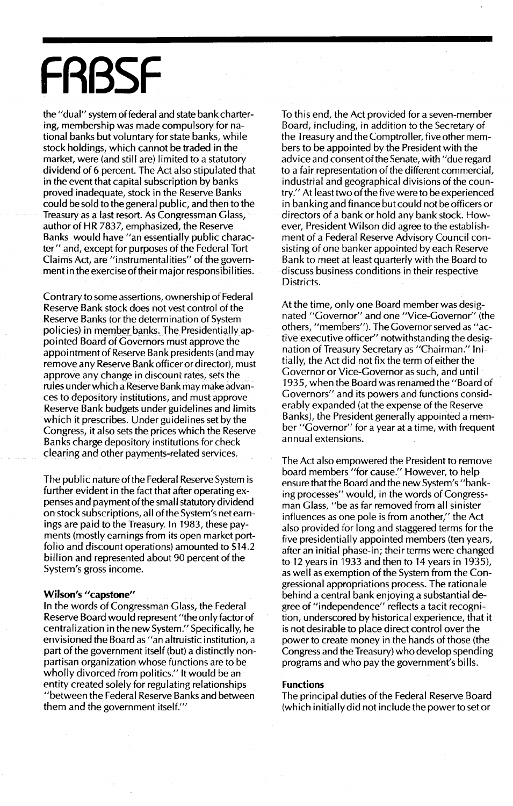# **FRBSF**

the "dual" system of federal and state bank chartering, membership was made compulsory for national banks but voluntary for state banks, while stock holdings, which cannot be traded in the market, were (and still are) limited to a statutory dividend of 6 percent. The Act also stipulated that in the event that capital subscription by banks proved inadequate, stock in the Reserve Banks could be sold to the general public, and then to the Treasury as a last resort. As Congressman Glass, author of HR 7837, emphasized, the Reserve Banks would have "an essentially public character" and, except for purposes of the Federal Tort Claims Act, are "instrumental ities" of the government in the exercise of their major responsibilities.

Contrary to some assertions, ownership of Federal Reserve Bank stock does not vest control of the Reserve Banks (or the determination of System policies) in member banks. The Presidentially appointed Board of Governors must approve the appointment of Reserve Bank presidents (and may remove any Reserve Bank officer or director), must approve any change in discount rates, sets the rules under which a Reserve Bank may make advances to depository institutions, and must approve Reserve Bank budgets under guidelines and limits which it prescribes. Under guidelines set by the Congress, it also sets the prices which the Reserve Banks charge depository institutions for check clearing and other payments-related services.

The public nature of the Federal Reserve System is further evident in the fact that after operating expenses and payment of the small statutory dividend on stock subscriptions, all ofthe System's net earnings are paid to the Treasury. In 1983, these payments (mostly earnings from its open market portfolio and discount operations) amounted to \$14.2 billion and represented about 90 percent of the System's gross income.

#### **Wilson's "capstone"**

In the words of Congressman Glass, the Federal Reserve Board would represent "the only factor of centralization in the new System." Specifically, he envisioned the Board as "an altruistic institution, a part of the government itself (but) a distinctly nonpartisan organization whose functions are to be wholly divorced from politics." It would be an entity created solely for regulating relationships "between the Federal Reserve Banks and between them and the government itself.'"

To this end, the Act provided for a seven-member Board, including, in addition to the Secretary of the Treasury and the Comptroller, five other members to be appointed by the President with the advice and consent of the Senate, with "due regard to a fair representation of the different commercial, industrial and geographical divisions of the country." At least two of the five were to be experienced in banking and finance butcould not be officers or directors of a bank or hold any bank stock. However, President Wilson did agree to the establishment of a Federal Reserve Advisory Council consisting of one banker appointed by each Reserve Bank to meet at least quarterly with the Board to discuss business conditions in their respective Districts.

At the time, only one Board member was designated "Governor" and one "Vice-Governor" (the others, "members"). The Governor served as "active executive officer" notwithstanding the designation of Treasury Secretary as "Chairman." Initially, the Act did not fix the term of either the Governor or Vice-Governor as such, and until 1935, when the Board was renamed the "Board of Governors" and its powers and functions considerably expanded (at the expense of the Reserve Banks), the President generally appointed a member "Governor" for a year at a time, with frequent annual extensions.

The Act also empowered the President to remove board members "for cause." However, to help ensure that the Board and the new System's "banking processes" would, in the words of Congressman Glass, "be as far removed from all sinister influences as one pole is from another," the Act also provided for long and staggered terms for the five presidentially appointed members (ten years, after an initial phase-in; their terms were changed to 12 years in 1933 and then to 14 years in 1935), as well as exemption of the System from the Congressional appropriations process. The rationale behind a central bank enjoying a substantial degree of "independence" reflects a tacit recognition, underscored by historical experience, that it is not desirable to place direct control over the power to create money in the hands of those (the Congress and the Treasury) who develop spending programs and who pay the government's bills.

#### **Functions**

The principal duties of the Federal Reserve Board (which initially did not include the powerto setor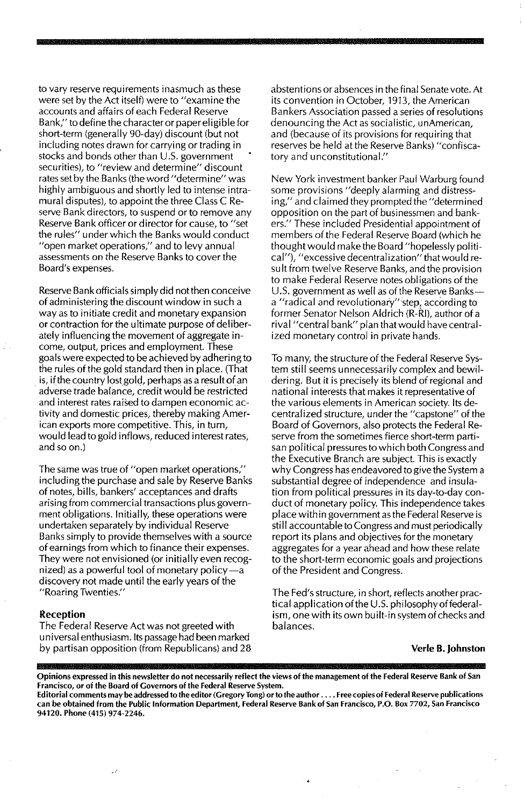to vary reserve requirements inasmuch as these were set by the Act itself) were to "examine the accounts and affairs of each Federal Reserve Bank," to define the character or paper eligible for short-term (generally 90-day) discount (but not including notes drawn for carrying or trading in stocks and bonds other than U.5. government  $securities$ , to "review and determine" discount rates set by the Banks (the word "determine" was highly ambiguous and shortly led to intense intramural disputes), to appoint the three Class C Reserve Bank directors, to suspend or to remove any Reserve Bank officer or director for cause, to "set the rules" under which the Banks would conduct "open market operations," and to levy annual assessments on the Reserve Banks to cover the Board's expenses.

Reserve Bank officials simply did not then conceive of administering the discount window in such a way as to initiate credit and monetary expansion or contraction for the ultimate purpose of deliberately influencing the movement of aggregate income, output, prices and employment. These goals were expected to be achieved by adheringto the rules of the gold standard then in place. (That is, if the country lost gold, perhaps as a result of an adverse trade balance, credit wou Id be restricted and interest rates raised to dampen economic activity and domestic prices, thereby making Amer**ican exports more competitive. This, in turn,** would lead to gold inflows, reduced interest rates, and so on.)

**The same was true of '!open market operations,"** including the purchase and sale by Reserve Banks of notes, bills, bankers' acceptances and drafts arising from commercial transactions plus government obligations. Initially, these operations were undertaken separately by individual Reserve Banks simply to provide themselves with a source of earnings from which to finance their expenses. They were not envisioned (or initially even recognized) as a powerful tool of monetary policy-a discovery not made until the early years of the **"Roaring Twenties."**

#### **Reception**

The Federal Reserve Act was not greeted with universal enthusiasm. Its passage had **been** marked by partisan opposition (from Republicans) and 28 abstentions or absences in the final Senate vote. At its convention in October, 1913, the American Bankers Association passed a series of resolutions denouncing the Act as socialistic, unAmerican, and (because of its provisions for requiring that reserves be held at the Reserve Banks) "confiscatory and unconstitutional."

New York investment banker Paul Warburg found some provisions "deeply alarming and distressing," and claimed they prompted the "determined opposition on the part of businessmen and bankers." These included Presidential appointment of members of the Federal Reserve Board (which he thought would make the Board "hopelessly politi**cal"), "excessivedecentraJization"** that wou ld **re**sult from twelve Reserve Banks, and the provision to make Federal Reserve notes obligations of the U.S. government as well as of the Reserve Banksa "radical and revolutionary" step, according to former Senator Nelson Aldrich (R-RI), author of a rival "central bank" plan that would have centralized monetary control in private hands.

To many, the structure of the Federal Reserve System still seems unnecessarily complex and bewildering. But it is precisely its blend of regional and national interests that makes it representative of the various elements in American society. Its decentralized structure, under the "capstone" of the Board of Governors, also protects the Federal Reserve from the sometimes fierce short-term partisan political pressures to which both Congress and the Executive Branch are subject. This is exactly why Congress has endeavored to give the System a substantial degree of independence and insulation from political pressures in its day-to-day conduct of monetary policy. This independence takes place within government as the Federal Reserve is still accountable to Congress and must periodically report its plans and objectives for the monetary aggregates for a year ahead and how these relate to the short-term economic goals and projections of the President and Congress.

The Fed's structure, in short, reflects another practical application of the U.S. philosophy of federalism, one with its own built-in system of checks and balances.

#### **Verle B.lohnston**

Opinions expressed in this newsletter do not necessarily reflect the views of the management of the Federal Reserve Bank of San **Francisco, or of the Board of Governors of the Federal Reserve System.**

Editorial comments may be addressed to the editor (Gregory Tong) or to the author . . . . Free copies of Federal Reserve publications can be obtained from the Public Information Department, Federal Reserve Bank of San Francisco, P.O. Box 7702, San Francisco **94120. Phone (415) 974·2246.**